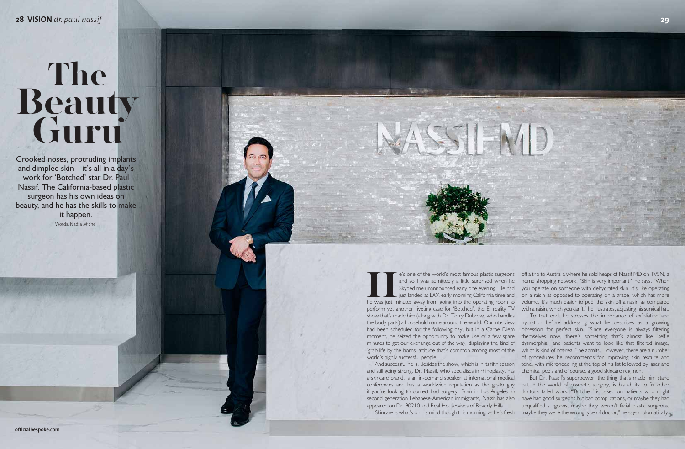# The **Beauty Guru**

Crooked noses, protruding implants and dimpled skin – it's all in a day's work for 'Botched' star Dr. Paul Nassif. The California-based plastic surgeon has his own ideas on beauty, and he has the skills to make it happen. Words: Nadia Michel

conferences and has a worldwide reputation as the go-to guy out in the world of cosmetic surgery, is his ability to fix other if you're looking to correct bad surgery. Born in Los Angeles to doctor's failed work. "'Botched' is based on patients who might second generation Lebanese-American immigrants, Nassif has also have had good surgeons but bad complications, or maybe they had But Dr. Nassif's superpower, the thing that's made him stand unqualified surgeons, maybe they weren't facial plastic surgeons,

**He's one of the world's most famous plastic surgeons** and so I was admittedly a little surprised when he Skyped me unannounced early one evening. He had just landed at LAX early morning California time and he was just min and so I was admittedly a little surprised when he Skyped me unannounced early one evening. He had just landed at LAX early morning California time and perform yet another riveting case for 'Botched', the E! reality TV with a raisin, which you can't," he illustrates, adjusting his surgical hat. show that's made him (along with Dr. Terry Dubrow, who handles the body parts) a household name around the world. Our interview hydration before addressing what he describes as a growing had been scheduled for the following day, but in a Carpe Diem obsession for perfect skin. "Since everyone is always filtering moment, he seized the opportunity to make use of a few spare minutes to get our exchange out of the way, displaying the kind of 'grab life by the horns' attitude that's common among most of the which is kind of not real," he admits. However, there are a number world's highly successful people. And successful he is. Besides the show, which is in its fifth season tone, with microneedling at the top of his list followed by laser and and still going strong, Dr. Nassif, who specialises in rhinoplasty, has chemical peels and of course, a good skincare regimen. e's one of the world's most famous plastic surgeons off a trip to Australia where he sold heaps of Nassif MD on TVSN, a home shopping network. "Skin is very important," he says. "When you operate on someone with dehydrated skin, it's like operating on a raisin as opposed to operating on a grape, which has more volume. It's much easier to peel the skin off a raisin as compared To that end, he stresses the importance of exfoliation and themselves now, there's something that's almost like 'selfie dysmorphia', and patients want to look like that filtered image, of procedures he recommends for improving skin texture and

ASSIEMD

a skincare brand, is an in-demand speaker at international medical appeared on Dr. 90210 and Real Housewives of Beverly Hills.

Skincare is what's on his mind though this morning, as he's fresh maybe they were the wrong type of doctor," he says diplomatically.